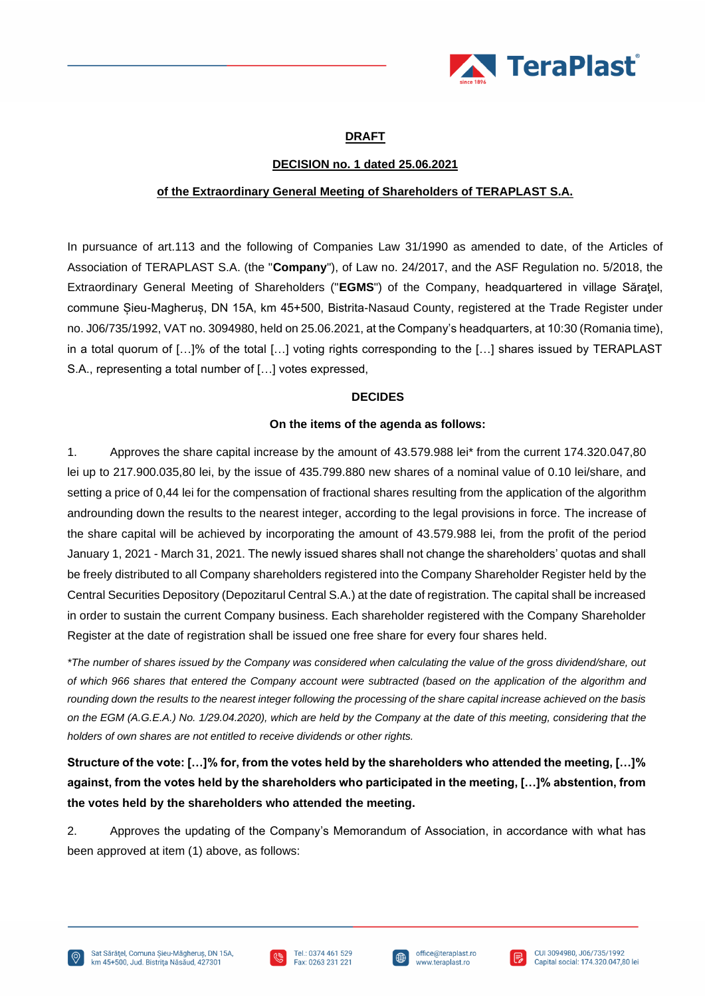

# **DRAFT**

## **DECISION no. 1 dated 25.06.2021**

### **of the Extraordinary General Meeting of Shareholders of TERAPLAST S.A.**

In pursuance of art.113 and the following of Companies Law 31/1990 as amended to date, of the Articles of Association of TERAPLAST S.A. (the "**Company**"), of Law no. 24/2017, and the ASF Regulation no. 5/2018, the Extraordinary General Meeting of Shareholders ("**EGMS**") of the Company, headquartered in village Săraţel, commune Șieu-Magheruș, DN 15A, km 45+500, Bistrita-Nasaud County, registered at the Trade Register under no. J06/735/1992, VAT no. 3094980, held on 25.06.2021, at the Company's headquarters, at 10:30 (Romania time), in a total quorum of […]% of the total […] voting rights corresponding to the […] shares issued by TERAPLAST S.A., representing a total number of […] votes expressed,

### **DECIDES**

### **On the items of the agenda as follows:**

1. Approves the share capital increase by the amount of 43.579.988 lei\* from the current 174.320.047,80 lei up to 217.900.035,80 lei, by the issue of 435.799.880 new shares of a nominal value of 0.10 lei/share, and setting a price of 0,44 lei for the compensation of fractional shares resulting from the application of the algorithm androunding down the results to the nearest integer, according to the legal provisions in force. The increase of the share capital will be achieved by incorporating the amount of 43.579.988 lei, from the profit of the period January 1, 2021 - March 31, 2021. The newly issued shares shall not change the shareholders' quotas and shall be freely distributed to all Company shareholders registered into the Company Shareholder Register held by the Central Securities Depository (Depozitarul Central S.A.) at the date of registration. The capital shall be increased in order to sustain the current Company business. Each shareholder registered with the Company Shareholder Register at the date of registration shall be issued one free share for every four shares held.

*\*The number of shares issued by the Company was considered when calculating the value of the gross dividend/share, out of which 966 shares that entered the Company account were subtracted (based on the application of the algorithm and rounding down the results to the nearest integer following the processing of the share capital increase achieved on the basis on the EGM (A.G.E.A.) No. 1/29.04.2020), which are held by the Company at the date of this meeting, considering that the holders of own shares are not entitled to receive dividends or other rights.*

**Structure of the vote: […]% for, from the votes held by the shareholders who attended the meeting, […]% against, from the votes held by the shareholders who participated in the meeting, […]% abstention, from the votes held by the shareholders who attended the meeting.**

2. Approves the updating of the Company's Memorandum of Association, in accordance with what has been approved at item (1) above, as follows:





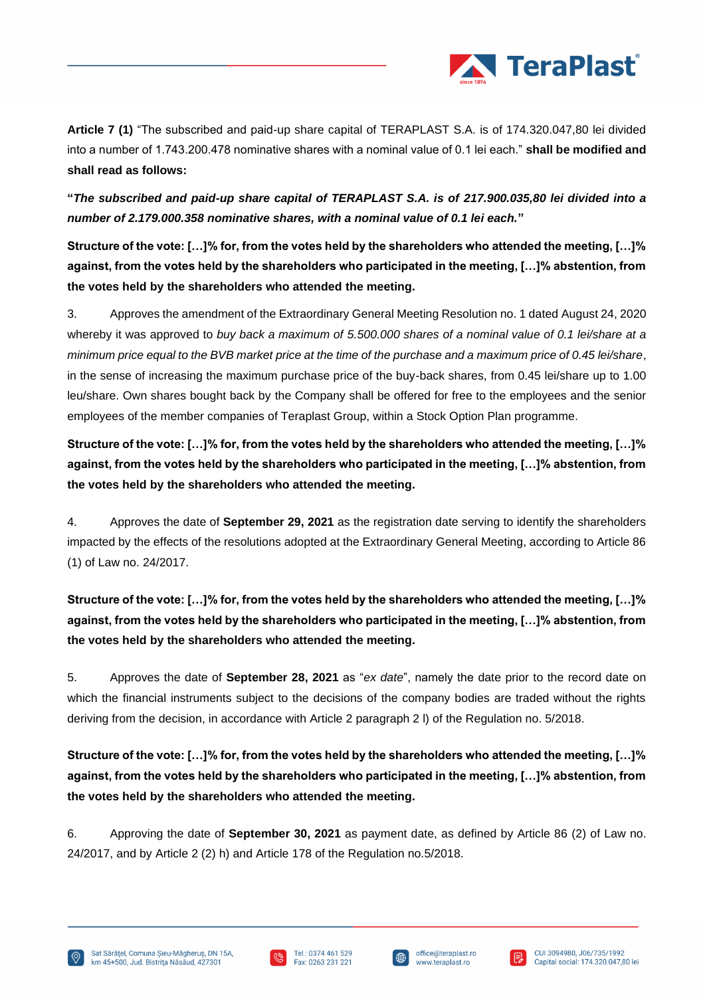

**Article 7 (1)** "The subscribed and paid-up share capital of TERAPLAST S.A. is of 174.320.047,80 lei divided into a number of 1.743.200.478 nominative shares with a nominal value of 0.1 lei each." **shall be modified and shall read as follows:**

**"***The subscribed and paid-up share capital of TERAPLAST S.A. is of 217.900.035,80 lei divided into a number of 2.179.000.358 nominative shares, with a nominal value of 0.1 lei each.***"**

**Structure of the vote: […]% for, from the votes held by the shareholders who attended the meeting, […]% against, from the votes held by the shareholders who participated in the meeting, […]% abstention, from the votes held by the shareholders who attended the meeting.**

3. Approves the amendment of the Extraordinary General Meeting Resolution no. 1 dated August 24, 2020 whereby it was approved to *buy back a maximum of 5.500.000 shares of a nominal value of 0.1 lei/share at a minimum price equal to the BVB market price at the time of the purchase and a maximum price of 0.45 lei/share*, in the sense of increasing the maximum purchase price of the buy-back shares, from 0.45 lei/share up to 1.00 leu/share. Own shares bought back by the Company shall be offered for free to the employees and the senior employees of the member companies of Teraplast Group, within a Stock Option Plan programme.

**Structure of the vote: […]% for, from the votes held by the shareholders who attended the meeting, […]% against, from the votes held by the shareholders who participated in the meeting, […]% abstention, from the votes held by the shareholders who attended the meeting.**

4. Approves the date of **September 29, 2021** as the registration date serving to identify the shareholders impacted by the effects of the resolutions adopted at the Extraordinary General Meeting, according to Article 86 (1) of Law no. 24/2017.

**Structure of the vote: […]% for, from the votes held by the shareholders who attended the meeting, […]% against, from the votes held by the shareholders who participated in the meeting, […]% abstention, from the votes held by the shareholders who attended the meeting.**

5. Approves the date of **September 28, 2021** as "*ex date*", namely the date prior to the record date on which the financial instruments subject to the decisions of the company bodies are traded without the rights deriving from the decision, in accordance with Article 2 paragraph 2 l) of the Regulation no. 5/2018.

**Structure of the vote: […]% for, from the votes held by the shareholders who attended the meeting, […]% against, from the votes held by the shareholders who participated in the meeting, […]% abstention, from the votes held by the shareholders who attended the meeting.**

6. Approving the date of **September 30, 2021** as payment date, as defined by Article 86 (2) of Law no. 24/2017, and by Article 2 (2) h) and Article 178 of the Regulation no.5/2018.